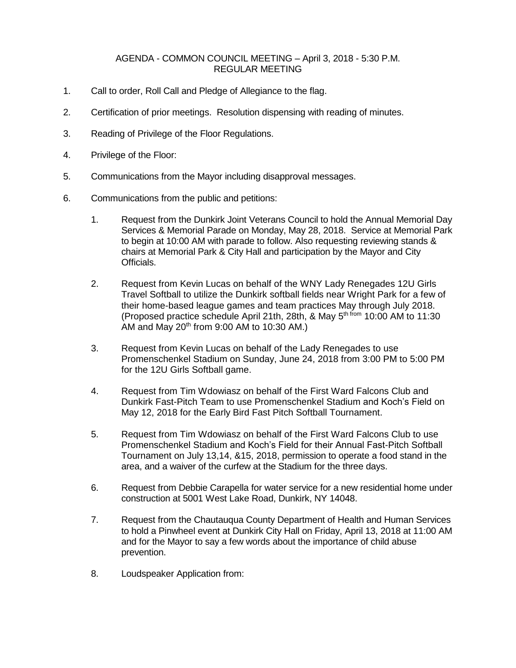## AGENDA - COMMON COUNCIL MEETING – April 3, 2018 - 5:30 P.M. REGULAR MEETING

- 1. Call to order, Roll Call and Pledge of Allegiance to the flag.
- 2. Certification of prior meetings. Resolution dispensing with reading of minutes.
- 3. Reading of Privilege of the Floor Regulations.
- 4. Privilege of the Floor:
- 5. Communications from the Mayor including disapproval messages.
- 6. Communications from the public and petitions:
	- 1. Request from the Dunkirk Joint Veterans Council to hold the Annual Memorial Day Services & Memorial Parade on Monday, May 28, 2018. Service at Memorial Park to begin at 10:00 AM with parade to follow. Also requesting reviewing stands & chairs at Memorial Park & City Hall and participation by the Mayor and City Officials.
	- 2. Request from Kevin Lucas on behalf of the WNY Lady Renegades 12U Girls Travel Softball to utilize the Dunkirk softball fields near Wright Park for a few of their home-based league games and team practices May through July 2018. (Proposed practice schedule April 21th, 28th, & May 5<sup>th from</sup> 10:00 AM to 11:30 AM and May  $20<sup>th</sup>$  from 9:00 AM to 10:30 AM.)
	- 3. Request from Kevin Lucas on behalf of the Lady Renegades to use Promenschenkel Stadium on Sunday, June 24, 2018 from 3:00 PM to 5:00 PM for the 12U Girls Softball game.
	- 4. Request from Tim Wdowiasz on behalf of the First Ward Falcons Club and Dunkirk Fast-Pitch Team to use Promenschenkel Stadium and Koch's Field on May 12, 2018 for the Early Bird Fast Pitch Softball Tournament.
	- 5. Request from Tim Wdowiasz on behalf of the First Ward Falcons Club to use Promenschenkel Stadium and Koch's Field for their Annual Fast-Pitch Softball Tournament on July 13,14, &15, 2018, permission to operate a food stand in the area, and a waiver of the curfew at the Stadium for the three days.
	- 6. Request from Debbie Carapella for water service for a new residential home under construction at 5001 West Lake Road, Dunkirk, NY 14048.
	- 7. Request from the Chautauqua County Department of Health and Human Services to hold a Pinwheel event at Dunkirk City Hall on Friday, April 13, 2018 at 11:00 AM and for the Mayor to say a few words about the importance of child abuse prevention.
	- 8. Loudspeaker Application from: